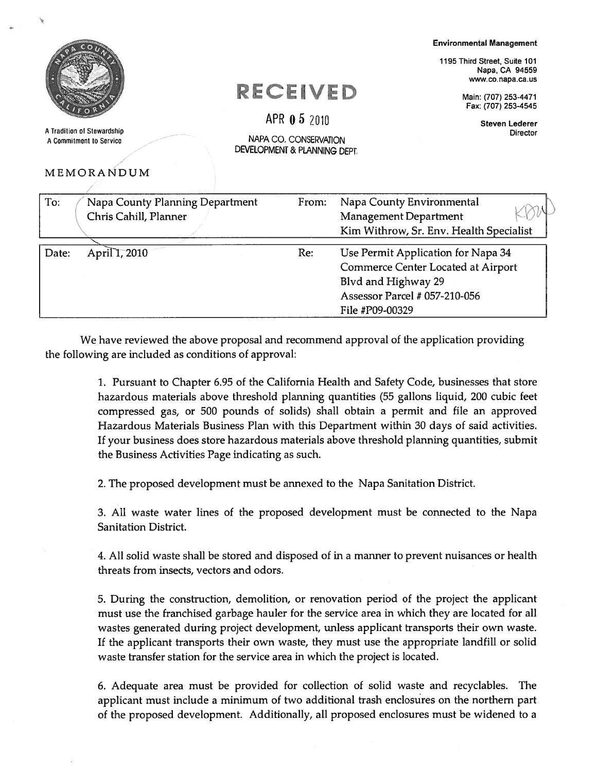A Tradition of Stewardship<br>
A Commitment to Service<br>
A Commitment to Service A Commitment to Service

## MEMO

Environmental Management

1195 Third Street, Suite 101 Napa, CA 94559 www.co.napa.ca.us

Commerce Center Located at Airport

Blvd and Highway 29

File #P09-00329

Assessor Parcel # 057-210-056

 $\mathsf{E} \mathbf{C} \mathbf{E} \mathbf{IV} \mathbf{E} \mathbf{D}$  Main: (707) 253-4471 Fax: (707) 253-4545

Steven Lederer

|       | MEMORANDUM                      | DEVELOPMENT & PLANNING DEPT. |                                                                  |
|-------|---------------------------------|------------------------------|------------------------------------------------------------------|
| To:   | Napa County Planning Department | From:                        | Napa County Environmental                                        |
|       | Chris Cahill, Planner           |                              | Management Department<br>Kim Withrow, Sr. Env. Health Specialist |
| Date: | April 1, 2010                   | Re:                          | Use Permit Application for Napa 34                               |

APR  $0.5$  2010

We have reviewed the above proposal and recommend approval of the application providing the following are included as conditions of approval:

> 1. Pursuant to Chapter 6.95 of the California Health and Safety Code, businesses that store hazardous materials above threshold planning quantities (55 gallons liquid, 200 cubic feet compressed gas, or 500 pounds of solids) shall obtain <sup>a</sup> permit and file an approved Hazardous Materials Business Plan with this Department within 30 days of said activities. If your business does store hazardous materials above threshold planning quantities, submit the Business Activities Page indicating as such.

2. The proposed development must be annexed to the Napa Sanitation District.

3. All waste water lines of the proposed development must be connected to the Napa Sanitation District.

4. All solid waste shall be stored and disposed of in <sup>a</sup> manner to preven<sup>t</sup> nuisances or health threats from insects, vectors and odors.

5. During the construction, demolition, or renovation period of the project the applicant must use the franchised garbage hauler for the service area in which they are located for all wastes generated during project development, unless applicant transports their own waste. If the applicant transports their own waste, they must use the appropriate landfill or solid waste transfer station for the service area in which the project is located.

6. Adequate area must be provided for collection of solid waste and recyclables. The applicant must include <sup>a</sup> minimum of two additional trash enclosures on the northern par<sup>t</sup> of the proposed development. Additionally, all proposed enclosures must be widened to <sup>a</sup>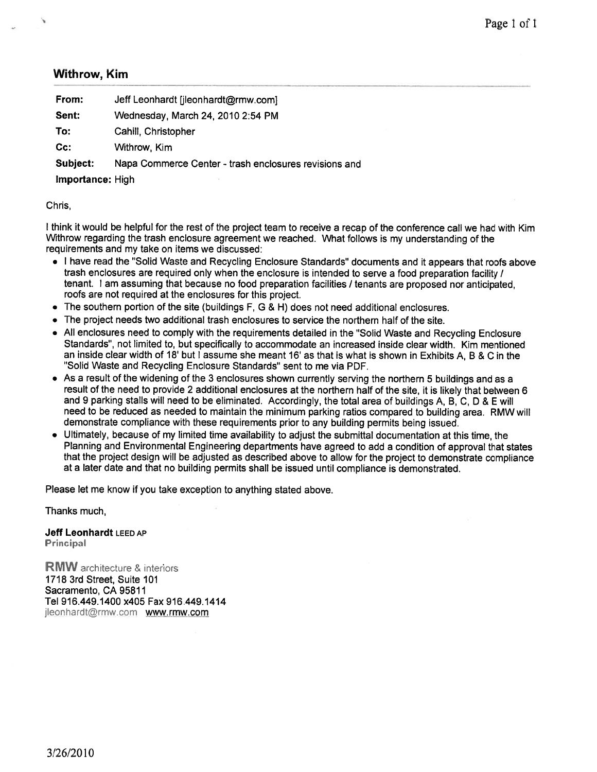## Withrow, Kim

| From:                   | Jeff Leonhardt [jleonhardt@rmw.com]                   |
|-------------------------|-------------------------------------------------------|
| Sent:                   | Wednesday, March 24, 2010 2:54 PM                     |
| To:                     | Cahill, Christopher                                   |
| cc:                     | Withrow, Kim                                          |
| Subject:                | Napa Commerce Center - trash enclosures revisions and |
| <b>Importance:</b> High |                                                       |
|                         |                                                       |

Chris,

<sup>I</sup> think it would be helpful for the rest of the project team to receive <sup>a</sup> recap of the conference call we had with Kim Withrow regarding the trash enclosure agreemen<sup>t</sup> we reached. What follows is my understanding of the requirements and my take on items we discussed:

- <sup>I</sup> have read the "Solid Waste and Recycling Enclosure Standards" documents and it appears that roofs above trash enclosures are required only when the enclosure is intended to serve <sup>a</sup> food preparation facility / tenant. <sup>I</sup> am assuming that because no food preparation facilities / tenants are proposed nor anticipated, roofs are not required at the enclosures for this project.
- $\bullet~$  The southern portion of the site (buildings F, G & H) does not need additional enclosures.
- •The project needs two additional trash enclosures to service the northern half of the site.
- • All enclosures need to comply with the requirements detailed in the "Solid Waste and Recycling Enclosure Standards", not limited to, but specifically to accommodate an increased inside clear width. Kim mentioned an inside clear width of 18' but I assume she meant 16' as that is what is shown in Exhibits A, B & C in the "Solid Waste and Recycling Enclosure Standards" sent to me via PDF.
- As <sup>a</sup> result of the widening of the <sup>3</sup> enclosures shown currently serving the northern <sup>5</sup> buildings and as <sup>a</sup> result of the need to provide <sup>2</sup> additional enclosures at the northern half of the site, it is likely that between <sup>6</sup> and <sup>9</sup> parking stalls will need to be eliminated. Accordingly, the total area of buildings A, B, C, <sup>D</sup> & <sup>E</sup> will need to be reduced as needed to maintain the minimum parking ratios compare<sup>d</sup> to building area. RMW will demonstrate compliance with these requirements prior to any building permits being issued.
- Ultimately, because of my limited time availability to adjust the submittal documentation at this time, the Planning and Environmental Engineering departments have agree<sup>d</sup> to add <sup>a</sup> condition of approva<sup>l</sup> that states that the project design will be adjusted as described above to allow for the project to demonstrate compliance at <sup>a</sup> later date and that no building permits shall be issued until compliance is demonstrated.

Please let me know if you take exception to anything stated above.

Thanks much,

Jeff Leonhardt LEED AP **Principal** 

**RMW** architecture & interiors 1718 3rd Street, Suite 101 Sacramento, CA 95811 Tel 916.449.1400 x405 Fax 916.449.1414 jleonhardt@rmw.com www.rmw.com